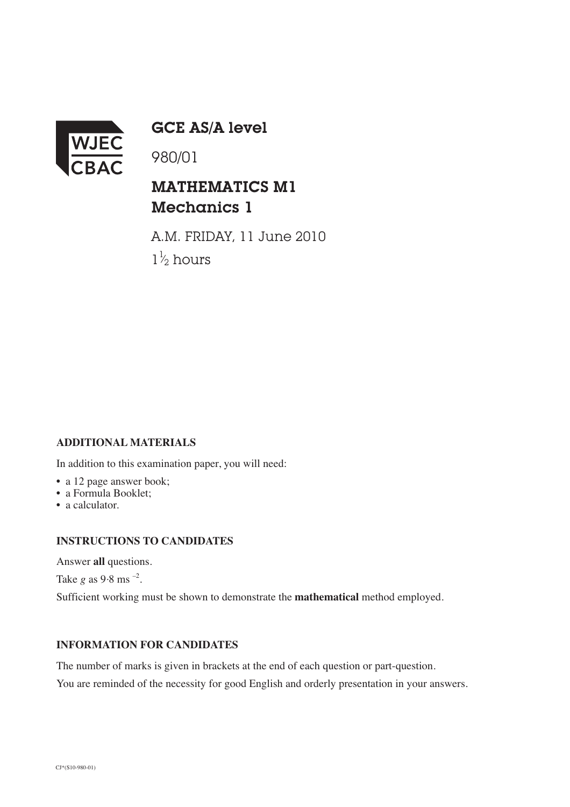

GCE AS/A level

980/01

# MATHEMATICS M1 Mechanics 1

A.M. FRIDAY, 11 June 2010  $1\frac{1}{2}$  hours ⁄

## **ADDITIONAL MATERIALS**

In addition to this examination paper, you will need:

- a 12 page answer book;
- a Formula Booklet;
- a calculator.

#### **INSTRUCTIONS TO CANDIDATES**

Answer **all** questions.

Take  $g$  as 9.8 ms  $^{-2}$ .

Sufficient working must be shown to demonstrate the **mathematical** method employed.

### **INFORMATION FOR CANDIDATES**

The number of marks is given in brackets at the end of each question or part-question.

You are reminded of the necessity for good English and orderly presentation in your answers.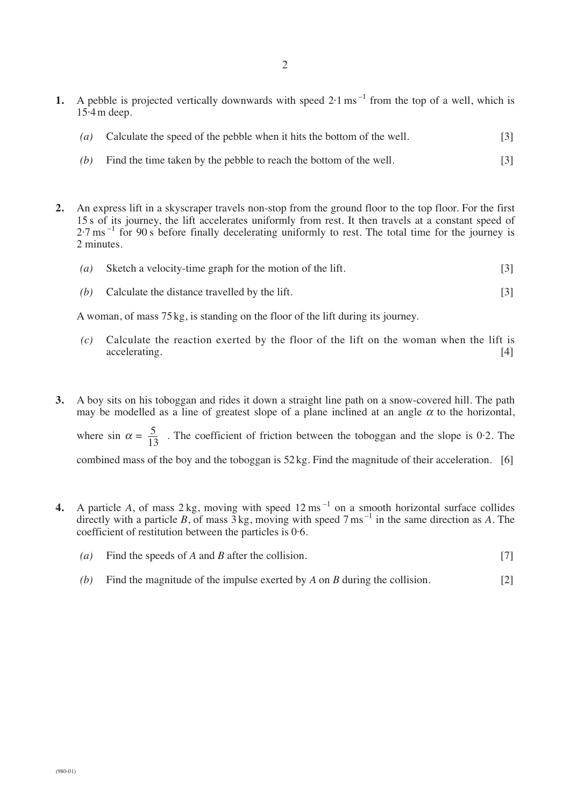- **1.** A pebble is projected vertically downwards with speed  $2 \cdot 1 \text{ ms}^{-1}$  from the top of a well, which is  $15.4 \text{ m}$  deep.
	- *(a)* Calculate the speed of the pebble when it hits the bottom of the well. [3]
	- *(b)* Find the time taken by the pebble to reach the bottom of the well. [3]
- **2.** An express lift in a skyscraper travels non-stop from the ground floor to the top floor. For the first 15 s of its journey, the lift accelerates uniformly from rest. It then travels at a constant speed of  $2.7 \text{ ms}^{-1}$  for 90 s before finally decelerating uniformly to rest. The total time for the journey is 2 minutes.
	- *(a)* Sketch a velocity-time graph for the motion of the lift. [3]
	- *(b)* Calculate the distance travelled by the lift. [3]

A woman, of mass 75 kg, is standing on the floor of the lift during its journey.

- *(c)* Calculate the reaction exerted by the floor of the lift on the woman when the lift is accelerating. [4]
- **3.** A boy sits on his toboggan and rides it down a straight line path on a snow-covered hill. The path may be modelled as a line of greatest slope of a plane inclined at an angle  $\alpha$  to the horizontal, where sin  $\alpha = \frac{5}{12}$ . The coefficient of friction between the toboggan and the slope is 0.2. The combined mass of the boy and the toboggan is 52 kg. Find the magnitude of their acceleration. [6] 13
- **4.** A particle *A*, of mass  $2 \text{ kg}$ , moving with speed  $12 \text{ ms}^{-1}$  on a smooth horizontal surface collides directly with a particle *B*, of mass  $\overline{3}$  kg, moving with speed  $7 \text{ ms}^{-1}$  in the same direction as *A*. The coefficient of restitution between the particles is 0·6.
	- *(a)* Find the speeds of *A* and *B* after the collision. [7]
	- *(b)* Find the magnitude of the impulse exerted by *A* on *B* during the collision. [2]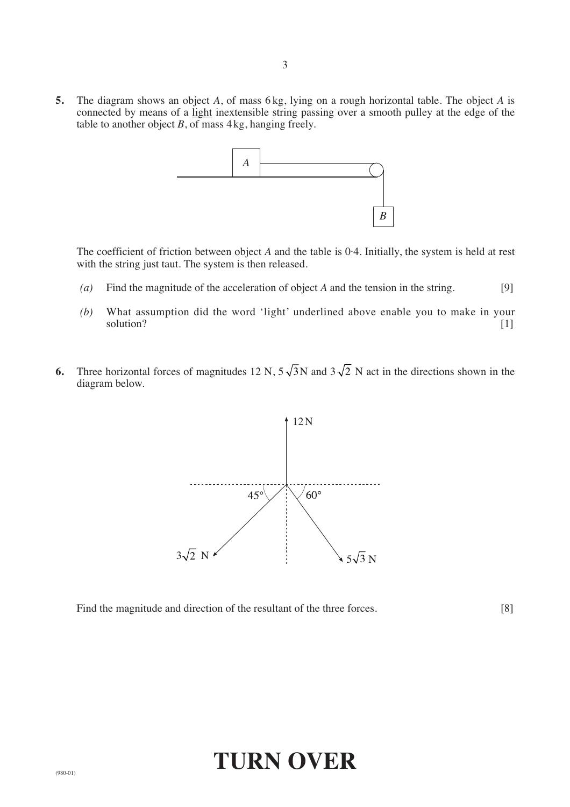**5.** The diagram shows an object *A*, of mass 6 kg, lying on a rough horizontal table. The object *A* is connected by means of a light inextensible string passing over a smooth pulley at the edge of the table to another object  $B$ , of mass  $4 \text{ kg}$ , hanging freely.



The coefficient of friction between object *A* and the table is 0·4. Initially, the system is held at rest with the string just taut. The system is then released.

- *(a)* Find the magnitude of the acceleration of object *A* and the tension in the string. [9]
- *(b)* What assumption did the word 'light' underlined above enable you to make in your solution? [1]
- **6.** Three horizontal forces of magnitudes 12 N,  $5\sqrt{3}N$  and  $3\sqrt{2}N$  act in the directions shown in the diagram below.



Find the magnitude and direction of the resultant of the three forces. [8]

# **TURN OVER**